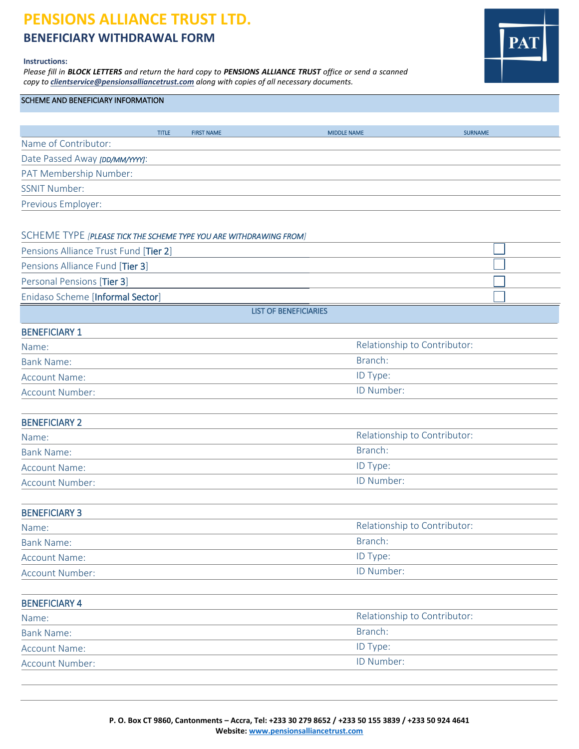# **PENSIONS ALLIANCE TRUST LTD.**

**BENEFICIARY WITHDRAWAL FORM**

#### **Instructions:**

*Please fill in BLOCK LETTERS and return the hard copy to PENSIONS ALLIANCE TRUST office or send a scanned copy to [clientservice@pensionsalliancetrust.com](mailto:clientservice@pensionsalliancetrust.com) along with copies of all necessary documents.*



### SCHEME AND BENEFICIARY INFORMATION

|                                | <b>TITLE</b> | <b>FIRST NAME</b> | <b>MIDDLE NAME</b> | <b>SURNAME</b> |
|--------------------------------|--------------|-------------------|--------------------|----------------|
| Name of Contributor:           |              |                   |                    |                |
| Date Passed Away [DD/MM/YYYY]: |              |                   |                    |                |
| PAT Membership Number:         |              |                   |                    |                |
| <b>SSNIT Number:</b>           |              |                   |                    |                |
| Previous Employer:             |              |                   |                    |                |
|                                |              |                   |                    |                |

#### SCHEME TYPE *[PLEASE TICK THE SCHEME TYPE YOU ARE WITHDRAWING FROM]*

| Pensions Alliance Trust Fund [Tier 2] |  |  |
|---------------------------------------|--|--|
| Pensions Alliance Fund [Tier 3]       |  |  |
| Personal Pensions [Tier 3]            |  |  |
| Enidaso Scheme [Informal Sector]      |  |  |
| <b>LIST OF BENEFICIARIES</b>          |  |  |

## BENEFICIARY 1

| Name:                | Relationship to Contributor: |
|----------------------|------------------------------|
| Bank Name:           | Branch:                      |
| <b>Account Name:</b> | ID Type:                     |
| Account Number:      | ID Number:                   |

| <b>BENEFICIARY 2</b> |                              |  |
|----------------------|------------------------------|--|
| Name:                | Relationship to Contributor: |  |
| <b>Bank Name:</b>    | Branch:                      |  |
| <b>Account Name:</b> | ID Type:                     |  |
| Account Number:      | <b>ID Number:</b>            |  |

| <b>BENEFICIARY 3</b> |                              |  |
|----------------------|------------------------------|--|
| Name:                | Relationship to Contributor: |  |
| <b>Bank Name:</b>    | Branch:                      |  |
| Account Name:        | <b>ID Type:</b>              |  |
| Account Number:      | ID Number:                   |  |

| <b>BENEFICIARY 4</b> |                              |
|----------------------|------------------------------|
| Name:                | Relationship to Contributor: |
| <b>Bank Name:</b>    | Branch:                      |
| <b>Account Name:</b> | <b>ID Type:</b>              |
| Account Number:      | ID Number:                   |
|                      |                              |